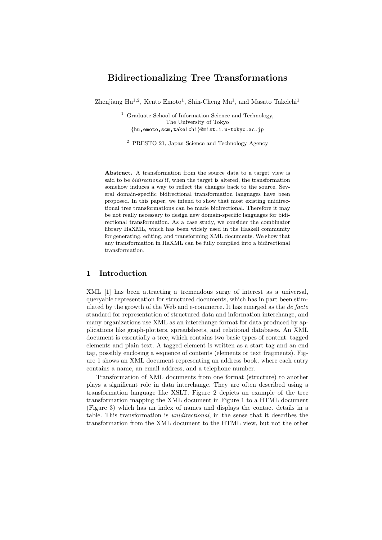# Bidirectionalizing Tree Transformations

Zhenjiang  $\text{Hu}^{1,2}$ , Kento Emoto<sup>1</sup>, Shin-Cheng Mu<sup>1</sup>, and Masato Takeichi<sup>1</sup>

<sup>1</sup> Graduate School of Information Science and Technology, The University of Tokyo {hu,emoto,scm,takeichi}@mist.i.u-tokyo.ac.jp

<sup>2</sup> PRESTO 21, Japan Science and Technology Agency

Abstract. A transformation from the source data to a target view is said to be bidirectional if, when the target is altered, the transformation somehow induces a way to reflect the changes back to the source. Several domain-specific bidirectional transformation languages have been proposed. In this paper, we intend to show that most existing unidirectional tree transformations can be made bidirectional. Therefore it may be not really necessary to design new domain-specific languages for bidirectional transformation. As a case study, we consider the combinator library HaXML, which has been widely used in the Haskell community for generating, editing, and transforming XML documents. We show that any transformation in HaXML can be fully compiled into a bidirectional transformation.

## 1 Introduction

XML [1] has been attracting a tremendous surge of interest as a universal, queryable representation for structured documents, which has in part been stimulated by the growth of the Web and e-commerce. It has emerged as the de facto standard for representation of structured data and information interchange, and many organizations use XML as an interchange format for data produced by applications like graph-plotters, spreadsheets, and relational databases. An XML document is essentially a tree, which contains two basic types of content: tagged elements and plain text. A tagged element is written as a start tag and an end tag, possibly enclosing a sequence of contents (elements or text fragments). Figure 1 shows an XML document representing an address book, where each entry contains a name, an email address, and a telephone number.

Transformation of XML documents from one format (structure) to another plays a significant role in data interchange. They are often described using a transformation language like XSLT. Figure 2 depicts an example of the tree transformation mapping the XML document in Figure 1 to a HTML document (Figure 3) which has an index of names and displays the contact details in a table. This transformation is unidirectional, in the sense that it describes the transformation from the XML document to the HTML view, but not the other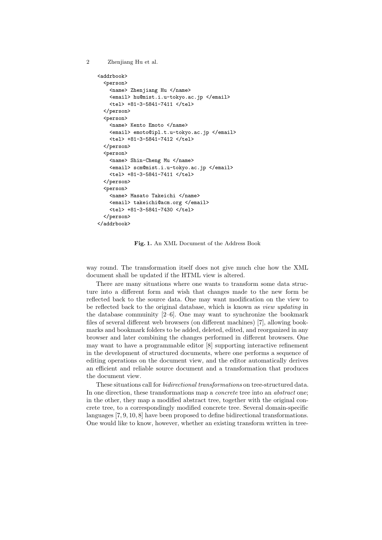```
2 Zhenjiang Hu et al.
```

```
<addrbook>
  <person>
    <name> Zhenjiang Hu </name>
    <email> hu@mist.i.u-tokyo.ac.jp </email>
    <tel> +81-3-5841-7411 </tel>
  </person>
  <person>
    <name> Kento Emoto </name>
    <email> emoto@ipl.t.u-tokyo.ac.jp </email>
    <tel> +81-3-5841-7412 </tel>
 </person>
  <person>
    <name> Shin-Cheng Mu </name>
    <email> scm@mist.i.u-tokyo.ac.jp </email>
    <tel> +81-3-5841-7411 </tel>
 </person>
  <person>
    <name> Masato Takeichi </name>
    <email> takeichi@acm.org </email>
    <tel> +81-3-5841-7430 </tel>
 </person>
</addrbook>
```
Fig. 1. An XML Document of the Address Book

way round. The transformation itself does not give much clue how the XML document shall be updated if the HTML view is altered.

There are many situations where one wants to transform some data structure into a different form and wish that changes made to the new form be reflected back to the source data. One may want modification on the view to be reflected back to the original database, which is known as view updating in the database community  $[2-6]$ . One may want to synchronize the bookmark files of several different web browsers (on different machines) [7], allowing bookmarks and bookmark folders to be added, deleted, edited, and reorganized in any browser and later combining the changes performed in different browsers. One may want to have a programmable editor [8] supporting interactive refinement in the development of structured documents, where one performs a sequence of editing operations on the document view, and the editor automatically derives an efficient and reliable source document and a transformation that produces the document view.

These situations call for *bidirectional transformations* on tree-structured data. In one direction, these transformations map a *concrete* tree into an *abstract* one; in the other, they map a modified abstract tree, together with the original concrete tree, to a correspondingly modified concrete tree. Several domain-specific languages [7, 9, 10, 8] have been proposed to define bidirectional transformations. One would like to know, however, whether an existing transform written in tree-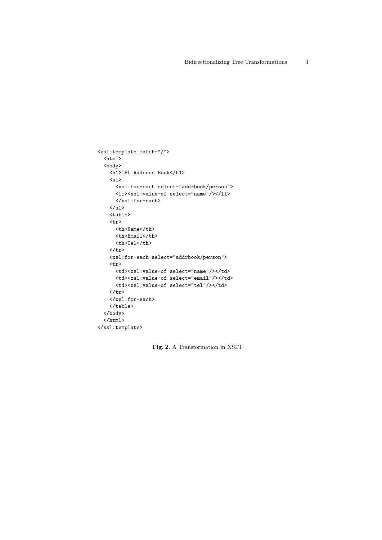```
<xsl:template match="/">
  \verb|html|<body>
    <h1>IPL Address Book</h1>
    <ul>
      <xsl:for-each select="addrbook/person">
      <li><xsl:value-of select="name"/></li>
      </xsl:for-each>
    \langle/ul>
    <table>
    <tr>
      <th>Name</th>
      <th>Email</th>
      <th>Tel</th>
    \langle/tr>
    <xsl:for-each select="addrbook/person">
    \mbox{{\sc {\small \texttt{ctr}}}}<td><xsl:value-of select="name"/></td>
      <td><xsl:value-of select="email"/></td>
      <td><xsl:value-of select="tel"/></td>
    \langle/tr>
    </xsl:for-each>
    </table>
  </body>
  \langle/html>
</xsl:template>
```
Fig. 2. A Transformation in XSLT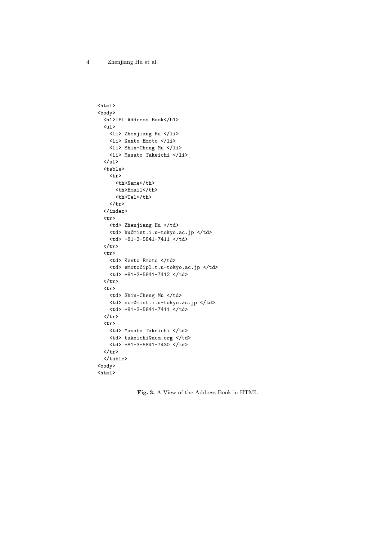```
\verb|html|<body>
  <h1>IPL Address Book</h1>
  <ul>
    <li> Zhenjiang Hu </li>
    <li> Kento Emoto </li>
    <li> Shin-Cheng Mu </li>
    <li> Masato Takeichi </li>
  \langle/ul>
  <table>
    <tr>
      <th>Name</th>
      <th>Email</th>
      <th>Tel</th>
    \langle/tr>
  </index>
  <tr>
    <td> Zhenjiang Hu </td>
    <td> hu@mist.i.u-tokyo.ac.jp </td>
    <td> +81-3-5841-7411 </td>
  \langle/tr>
  \langle \text{tr} \rangle<td> Kento Emoto </td>
    <td> emoto@ipl.t.u-tokyo.ac.jp </td>
    <td> +81-3-5841-7412 </td>
  \langle/tr>
  <tr>
    <td> Shin-Cheng Mu </td>
    <td> scm@mist.i.u-tokyo.ac.jp </td>
    <td> +81-3-5841-7411 </td>
  \langle/tr>
  \langle \text{tr} \rangle<td> Masato Takeichi </td>
    <td> takeichi@acm.org </td>
    <td> +81-3-5841-7430 </td>
  \langle/tr>
  \langle /table>
<body>
\verb|html|
```
Fig. 3. A View of the Address Book in HTML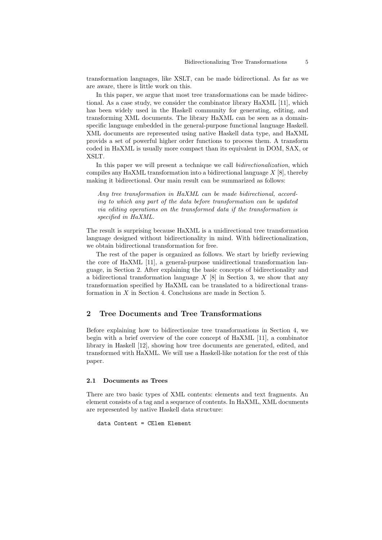transformation languages, like XSLT, can be made bidirectional. As far as we are aware, there is little work on this.

In this paper, we argue that most tree transformations can be made bidirectional. As a case study, we consider the combinator library HaXML [11], which has been widely used in the Haskell community for generating, editing, and transforming XML documents. The library HaXML can be seen as a domainspecific language embedded in the general-purpose functional language Haskell. XML documents are represented using native Haskell data type, and HaXML provids a set of powerful higher order functions to process them. A transform coded in HaXML is usually more compact than its equivalent in DOM, SAX, or XSLT.

In this paper we will present a technique we call bidirectionalization, which compiles any HaXML transformation into a bidirectional language  $X$  [8], thereby making it bidirectional. Our main result can be summarized as follows:

Any tree transformation in HaXML can be made bidirectional, according to which any part of the data before transformation can be updated via editing operations on the transformed data if the transformation is specified in HaXML.

The result is surprising because HaXML is a unidirectional tree transformation language designed without bidirectionality in mind. With bidirectionalization, we obtain bidirectional transformation for free.

The rest of the paper is organized as follows. We start by briefly reviewing the core of HaXML [11], a general-purpose unidirectional transformation language, in Section 2. After explaining the basic concepts of bidirectionality and a bidirectional transformation language  $X$  [8] in Section 3, we show that any transformation specified by HaXML can be translated to a bidirectional transformation in X in Section 4. Conclusions are made in Section 5.

# 2 Tree Documents and Tree Transformations

Before explaining how to bidirectionize tree transformations in Section 4, we begin with a brief overview of the core concept of HaXML [11], a combinator library in Haskell [12], showing how tree documents are generated, edited, and transformed with HaXML. We will use a Haskell-like notation for the rest of this paper.

#### 2.1 Documents as Trees

There are two basic types of XML contents: elements and text fragments. An element consists of a tag and a sequence of contents. In HaXML, XML documents are represented by native Haskell data structure:

```
data Content = CElem Element
```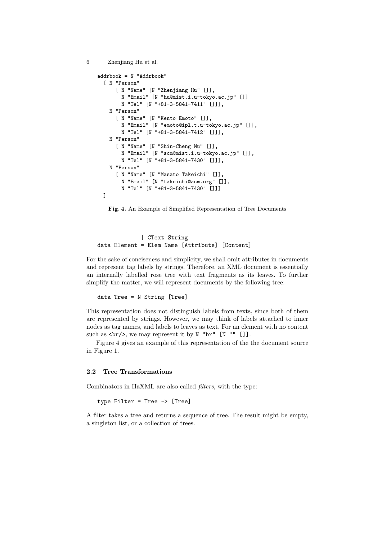```
6 Zhenjiang Hu et al.
```

```
addrbook = N "Addrbook"
  [ N "Person"
      [ N "Name" [N "Zhenjiang Hu" []],
        N "Email" [N "hu@mist.i.u-tokyo.ac.jp" []]
        N "Tel" [N "+81-3-5841-7411" []]],
    N "Person"
      [ N "Name" [N "Kento Emoto" []],
        N "Email" [N "emoto@ipl.t.u-tokyo.ac.jp" []],
        N "Tel" [N "+81-3-5841-7412" []]],
    N "Person"
      [ N "Name" [N "Shin-Cheng Mu" []],
        N "Email" [N "scm@mist.i.u-tokyo.ac.jp" []],
        N "Tel" [N "+81-3-5841-7430" []]],
    N "Person"
      [ N "Name" [N "Masato Takeichi" []],
        N "Email" [N "takeichi@acm.org" []],
        N "Tel" [N "+81-3-5841-7430" []]]
  \overline{1}
```


| CText String data Element = Elem Name [Attribute] [Content]

For the sake of conciseness and simplicity, we shall omit attributes in documents and represent tag labels by strings. Therefore, an XML document is essentially an internally labelled rose tree with text fragments as its leaves. To further simplify the matter, we will represent documents by the following tree:

data Tree = N String [Tree]

This representation does not distinguish labels from texts, since both of them are represented by strings. However, we may think of labels attached to inner nodes as tag names, and labels to leaves as text. For an element with no content such as  $\text{str}\frac{1}{2}$ , we may represent it by N "br" [N "" []].

Figure 4 gives an example of this representation of the the document source in Figure 1.

#### 2.2 Tree Transformations

Combinators in HaXML are also called filters, with the type:

type Filter = Tree -> [Tree]

A filter takes a tree and returns a sequence of tree. The result might be empty, a singleton list, or a collection of trees.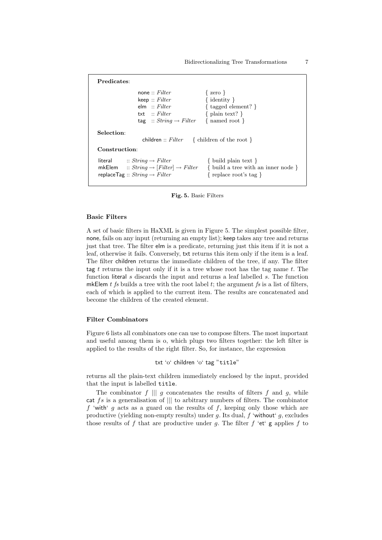| Predicates:                                                                                                                                        |                                                                                                                           |  |  |  |
|----------------------------------------------------------------------------------------------------------------------------------------------------|---------------------------------------------------------------------------------------------------------------------------|--|--|--|
| none: $Filter$<br>keep :: Filter<br>elm :: Filter<br>txt $\therefore$ Filter<br>tag :: $String \rightarrow Filter$                                 | $\{ \text{ zero } \}$<br>$\{$ identity $\}$<br>$\{$ tagged element? $\}$<br>$\{$ plain text? $\}$<br>$\{$ named root $\}$ |  |  |  |
| Selection:<br>children :: Filter { children of the root }                                                                                          |                                                                                                                           |  |  |  |
| Construction:                                                                                                                                      |                                                                                                                           |  |  |  |
| literal $:: String \rightarrow Filter$<br>mkElem $:: String \rightarrow [Filter] \rightarrow Filter$<br>replace Tag :: $String \rightarrow Filter$ | $\{$ build plain text $\}$<br>$\{$ build a tree with an inner node $\}$<br>{ replace root's tag }                         |  |  |  |

Fig. 5. Basic Filters

#### Basic Filters

A set of basic filters in HaXML is given in Figure 5. The simplest possible filter, none, fails on any input (returning an empty list); keep takes any tree and returns just that tree. The filter elm is a predicate, returning just this item if it is not a leaf, otherwise it fails. Conversely, txt returns this item only if the item is a leaf. The filter children returns the immediate children of the tree, if any. The filter tag  $t$  returns the input only if it is a tree whose root has the tag name  $t$ . The function literal s discards the input and returns a leaf labelled s. The function mkElem  $t$  fs builds a tree with the root label  $t$ ; the argument fs is a list of filters, each of which is applied to the current item. The results are concatenated and become the children of the created element.

# Filter Combinators

Figure 6 lists all combinators one can use to compose filters. The most important and useful among them is o, which plugs two filters together: the left filter is applied to the results of the right filter. So, for instance, the expression

```
txt 'o' children 'o' tag "title"
```
returns all the plain-text children immediately enclosed by the input, provided that the input is labelled title.

The combinator  $f \parallel g$  concatenates the results of filters  $f$  and  $g$ , while cat fs is a generalisation of  $\|$  to arbitrary numbers of filters. The combinator f 'with' g acts as a guard on the results of f, keeping only those which are productive (yielding non-empty results) under g. Its dual,  $f$  'without' g, excludes those results of f that are productive under g. The filter f 'et' g applies f to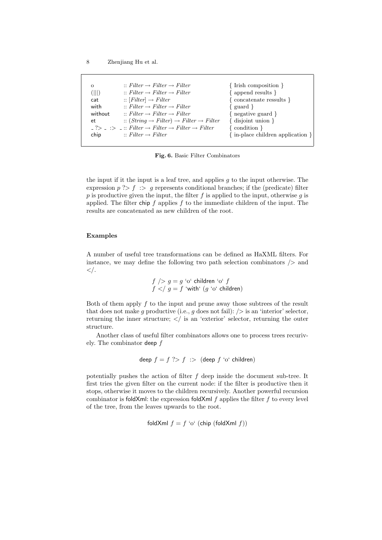| $\circ$ | $::$ Filter $\rightarrow$ Filter $\rightarrow$ Filter                                                         | $\{$ Irish composition $\}$             |
|---------|---------------------------------------------------------------------------------------------------------------|-----------------------------------------|
| (   )   | $::$ Filter $\rightarrow$ Filter $\rightarrow$ Filter                                                         | $\{$ append results $\}$                |
| cat     | $::$ [Filter] $\rightarrow$ Filter                                                                            | $\{ \text{concatenate results } \}$     |
| with    | $::$ Filter $\rightarrow$ Filter $\rightarrow$ Filter                                                         | $\{$ guard $\}$                         |
| without | $\therefore$ Filter $\rightarrow$ Filter $\rightarrow$ Filter                                                 | { negative guard }                      |
| et      | $:: (String \rightarrow Filter) \rightarrow Filter \rightarrow Filter$                                        | $\{$ disjoint union $\}$                |
|         | $\therefore$ $\Rightarrow$ $\therefore$ Filter $\rightarrow$ Filter $\rightarrow$ Filter $\rightarrow$ Filter | $\{$ condition $\}$                     |
| chip    | $\therefore$ Filter $\rightarrow$ Filter                                                                      | $\{$ in-place children application $\}$ |
|         |                                                                                                               |                                         |

Fig. 6. Basic Filter Combinators

the input if it the input is a leaf tree, and applies  $q$  to the input otherwise. The expression  $p \nightharpoonup f \nightharpoonup g$  represents conditional branches; if the (predicate) filter p is productive given the input, the filter  $f$  is applied to the input, otherwise  $g$  is applied. The filter chip  $f$  applies  $f$  to the immediate children of the input. The results are concatenated as new children of the root.

### Examples

A number of useful tree transformations can be defined as HaXML filters. For instance, we may define the following two path selection combinators  $\geq$  and  $\lt/$ .

$$
f \mid > g = g
$$
 'o' children 'o' 
$$
f
$$
  

$$
f \mid < f
$$
 
$$
g = f
$$
 'with' 
$$
(g
$$
 'o' children)

Both of them apply  $f$  to the input and prune away those subtrees of the result that does not make g productive (i.e., g does not fail):  $/$  is an 'interior' selector, returning the inner structure;  $\langle \rangle$  is an 'exterior' selector, returning the outer structure.

Another class of useful filter combinators allows one to process trees recurively. The combinator deep  $f$ 

deep 
$$
f = f
$$
 ?>  $f$  :> (deep  $f$  'o' children)

potentially pushes the action of filter f deep inside the document sub-tree. It first tries the given filter on the current node: if the filter is productive then it stops, otherwise it moves to the children recursively. Another powerful recursion combinator is foldXml: the expression foldXml  $f$  applies the filter  $f$  to every level of the tree, from the leaves upwards to the root.

foldXml  $f = f'$ o' (chip (foldXml f))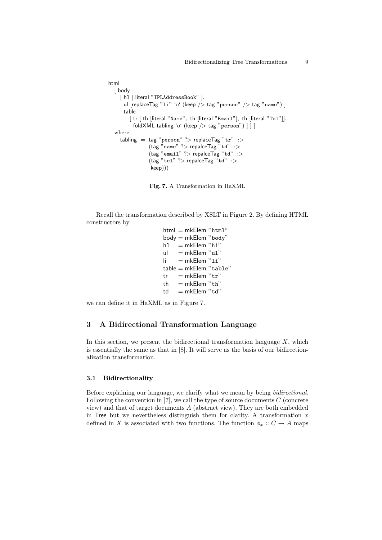```
html
  [ body
    [ h1 [ literal "IPLAddressBook" ],
      ul [replaceTag "li" 'o' (keep /> tag "person" /> tag "name") ]
      table
         [tr | th |literal "Name", th |literal "Email"], th |literal "Tel"]],
          foldXML tabling 'o' (keep / tag "person") \vert \vert \vertwhere
    tabling = tag "person" ?> replaceTag "tr" :>
                (\text{tag "name" ?>} repalceTag "td" :>
                (tag "email" ?> replace Tag "td" :>(\text{tag "tel" ?>} repalceTag "td" :>
                 keep)))
```
Fig. 7. A Transformation in HaXML

Recall the transformation described by XSLT in Figure 2. By defining HTML constructors by

```
html = mkElem "html"body = mkElem "body"
h1 = mkElem "h1"
ul = mkElem "u1"\mathsf{li} = \mathsf{mk}\mathsf{Elem} "\mathsf{li}"
table = mkElem "table"
tr = mkElem "tr"
th = mkElem "th"
td = mkElem "td"
```
we can define it in HaXML as in Figure 7.

### 3 A Bidirectional Transformation Language

In this section, we present the bidirectional transformation language  $X$ , which is essentially the same as that in [8]. It will serve as the basis of our bidirectionalization transformation.

### 3.1 Bidirectionality

Before explaining our language, we clarify what we mean by being bidirectional. Following the convention in  $[7]$ , we call the type of source documents  $C$  (concrete view) and that of target documents A (abstract view). They are both embedded in Tree but we nevertheless distinguish them for clarity. A transformation  $x$ defined in X is associated with two functions. The function  $\phi_x : C \to A$  maps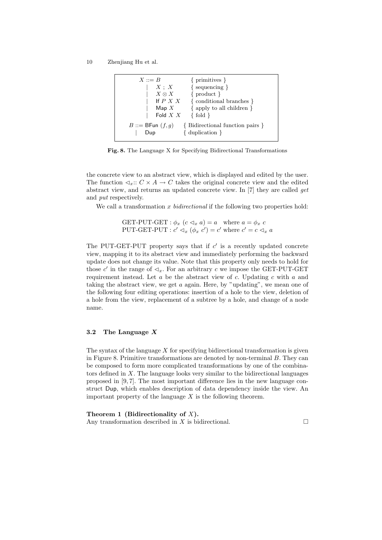| $X ::= B$                                | { primitives }                  |
|------------------------------------------|---------------------------------|
| $X \; ; \; X$                            | $\{$ sequencing $\}$            |
| $X \otimes X$                            | $\{product\}$                   |
| If $P X X$                               | { conditional branches }        |
| $\operatorname{\mathsf{Map}}\nolimits X$ | $\{$ apply to all children $\}$ |
| Fold $X$ $X$                             | $\{fold\}$                      |
| $B ::=$ BFun $(f, g)$                    | {Bidirectional function pairs}  |
| Dup                                      | $\{$ duplication $\}$           |

Fig. 8. The Language X for Specifying Bidirectional Transformations

the concrete view to an abstract view, which is displayed and edited by the user. The function  $\lhd_x: C \times A \to C$  takes the original concrete view and the edited abstract view, and returns an updated concrete view. In [7] they are called get and put respectively.

We call a transformation  $x$  bidirectional if the following two properties hold:

GET-PUT-GET :  $\phi_x$   $(c \triangleleft_x a) = a$  where  $a = \phi_x c$ PUT-GET-PUT :  $c' \lhd_x (\phi_x c') = c'$  where  $c' = c \lhd_x a$ 

The PUT-GET-PUT property says that if  $c'$  is a recently updated concrete view, mapping it to its abstract view and immediately performing the backward update does not change its value. Note that this property only needs to hold for those c' in the range of  $\lhd_x$ . For an arbitrary c we impose the GET-PUT-GET requirement instead. Let  $a$  be the abstract view of  $c$ . Updating  $c$  with  $a$  and taking the abstract view, we get  $a$  again. Here, by "updating", we mean one of the following four editing operations: insertion of a hole to the view, deletion of a hole from the view, replacement of a subtree by a hole, and change of a node name.

### 3.2 The Language X

The syntax of the language  $X$  for specifying bidirectional transformation is given in Figure 8. Primitive transformations are denoted by non-terminal  $B$ . They can be composed to form more complicated transformations by one of the combinators defined in X. The language looks very similar to the bidirectional languages proposed in [9, 7]. The most important difference lies in the new language construct Dup, which enables description of data dependency inside the view. An important property of the language  $X$  is the following theorem.

Theorem 1 (Bidirectionality of  $X$ ). Any transformation described in  $X$  is bidirectional.  $\Box$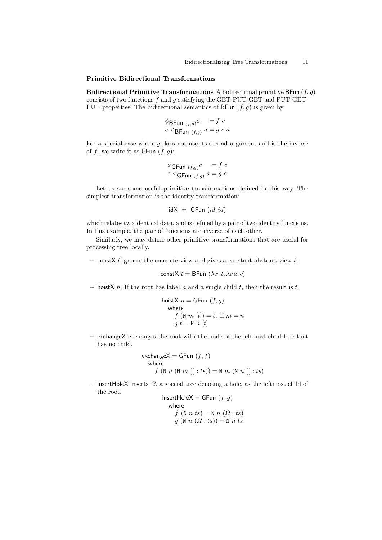#### Primitive Bidirectional Transformations

Bidirectional Primitive Transformations A bidirectional primitive BFun  $(f, g)$ consists of two functions  $f$  and  $g$  satisfying the GET-PUT-GET and PUT-GET-PUT properties. The bidirectional semantics of  $B\text{Fun}(f,g)$  is given by

$$
\phi_{\text{BFun } (f,g)} c = f c
$$
  

$$
c \triangleleft_{\text{BFun } (f,g)} a = g c a
$$

For a special case where  $q$  does not use its second argument and is the inverse of  $f$ , we write it as  $\mathsf{G}\mathsf{Fun}\ (f,g)$ :

$$
\begin{array}{l}\n\phi_{\text{GFun }(f,g)}c = f c \\
c \triangleleft_{\text{GFun }(f,g)} a = g a\n\end{array}
$$

Let us see some useful primitive transformations defined in this way. The simplest transformation is the identity transformation:

$$
idX = \mathsf{G}\mathsf{Fun}\ (id,id)
$$

which relates two identical data, and is defined by a pair of two identity functions. In this example, the pair of functions are inverse of each other.

Similarly, we may define other primitive transformations that are useful for processing tree locally.

– const $X$  t ignores the concrete view and gives a constant abstract view t.

$$
constX t = BFun (\lambda x. t, \lambda c. c)
$$

– hoistX n: If the root has label n and a single child t, then the result is t.

hoistX

\n
$$
n = \text{GFun}(f, g)
$$
\nwhere

\n
$$
f(\text{N } m[t]) = t, \text{ if } m = n
$$
\n
$$
g \ t = \text{N } n[t]
$$

– exchangeX exchanges the root with the node of the leftmost child tree that has no child.

$$
\begin{aligned}\n\text{exchangeX} &= \text{GFun }(f,f) \\
\text{where} \\
f \ (\text{N } n \ (\text{N } m \ [\ ]:ts)) &= \text{N } m \ (\text{N } n \ [\ ]:ts)\n\end{aligned}
$$

– insertHoleX inserts  $\Omega$ , a special tree denoting a hole, as the leftmost child of the root.

```
insertHoleX = GFun (f, g)where
     f(N n ts) = N n (\Omega : ts)g(\mathbb{N} n(\Omega:ts))=\mathbb{N} n ts
```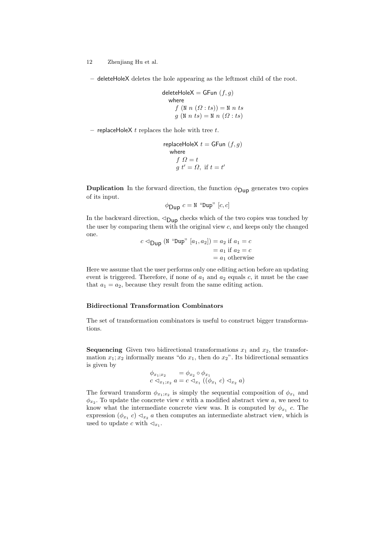– deleteHoleX deletes the hole appearing as the leftmost child of the root.

$$
\begin{aligned}\n\text{deleteHoleX} &= \text{GFun }(f,g) \\
\text{where} \\
f \ (\text{N } n \ (\Omega : ts)) &= \text{N } n \ ts \\
g \ (\text{N } n \ ts) &= \text{N } n \ (\Omega : ts)\n\end{aligned}
$$

– replaceHoleX  $t$  replaces the hole with tree  $t$ .

replaceHoleX 
$$
t = \text{GFun}(f, g)
$$
  
where  
 $f \Omega = t$   
 $g t' = \Omega$ , if  $t = t'$ 

**Duplication** In the forward direction, the function  $\phi_{\text{Dup}}$  generates two copies of its input.

$$
\phi_{\text{Dup}} c = \text{N} \text{``Dup'' [c, c]}
$$

In the backward direction,  $\triangleleft$ <sub>Dup</sub> checks which of the two copies was touched by the user by comparing them with the original view  $c$ , and keeps only the changed one.

$$
c \triangleleft \text{Dup} \ (\text{N} \ \text{``Dup''} [a_1, a_2]) = a_2 \text{ if } a_1 = c
$$
\n
$$
= a_1 \text{ if } a_2 = c
$$
\n
$$
= a_1 \text{ otherwise}
$$

Here we assume that the user performs only one editing action before an updating event is triggered. Therefore, if none of  $a_1$  and  $a_2$  equals c, it must be the case that  $a_1 = a_2$ , because they result from the same editing action.

### Bidirectional Transformation Combinators

The set of transformation combinators is useful to construct bigger transformations.

**Sequencing** Given two bidirectional transformations  $x_1$  and  $x_2$ , the transformation  $x_1; x_2$  informally means "do  $x_1$ , then do  $x_2$ ". Its bidirectional semantics is given by

$$
\begin{array}{l}\n\phi_{x_1;x_2} = \phi_{x_2} \circ \phi_{x_1} \\
c \lhd_{x_1;x_2} a = c \lhd_{x_1} ((\phi_{x_1} c) \lhd_{x_2} a)\n\end{array}
$$

The forward transform  $\phi_{x_1,x_2}$  is simply the sequential composition of  $\phi_{x_1}$  and  $\phi_{x_2}$ . To update the concrete view c with a modified abstract view a, we need to know what the intermediate concrete view was. It is computed by  $\phi_{x_1}$  c. The expression  $(\phi_{x_1} c) \triangleleft_{x_2} a$  then computes an intermediate abstract view, which is used to update c with  $\lhd_{x_1}$ .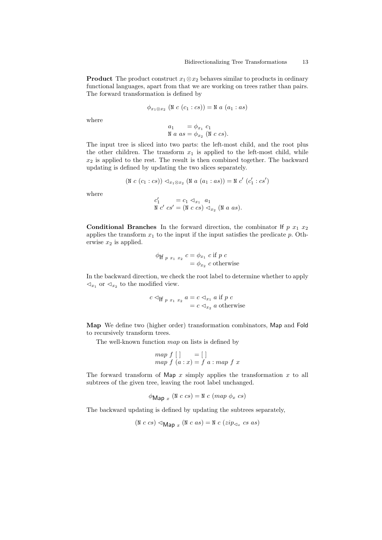**Product** The product construct  $x_1 \otimes x_2$  behaves similar to products in ordinary functional languages, apart from that we are working on trees rather than pairs. The forward transformation is defined by

$$
\phi_{x_1 \otimes x_2} \ (\mathbb{N} \ c \ (c_1 : cs)) = \mathbb{N} \ a \ (a_1 : as)
$$

where

$$
a_1 = \phi_{x_1} c_1
$$
  

$$
\mathbf{N} a \text{ as } = \phi_{x_2} (\mathbf{N} c \text{ cs}).
$$

The input tree is sliced into two parts: the left-most child, and the root plus the other children. The transform  $x_1$  is applied to the left-most child, while  $x_2$  is applied to the rest. The result is then combined together. The backward updating is defined by updating the two slices separately.

$$
(\mathtt{N}\ c\ (c_1:cs))\lhd_{x_1\otimes x_2}(\mathtt{N}\ a\ (a_1:as))=\mathtt{N}\ c'\ (c_1':cs')
$$

where

$$
\begin{array}{l}\nc_1' &= c_1 \triangleleft_{x_1} a_1\\
\mathbb{N} \ c' \ cs' = (\mathbb{N} \ c \ cs) \triangleleft_{x_2} (\mathbb{N} \ a \ as).\n\end{array}
$$

**Conditional Branches** In the forward direction, the combinator If  $p x_1 x_2$ applies the transform  $x_1$  to the input if the input satisfies the predicate p. Otherwise  $x_2$  is applied.

$$
\begin{aligned} \phi_{\text{If } p \ x_1 \ x_2} \ c &= \phi_{x_1} \ c \text{ if } p \ c \\ &= \phi_{x_2} \ c \text{ otherwise} \end{aligned}
$$

In the backward direction, we check the root label to determine whether to apply  $\lhd_{x_1}$  or  $\lhd_{x_2}$  to the modified view.

$$
c \triangleleft_{\text{If } p \ x_1 \ x_2} a = c \triangleleft_{x_1} a \text{ if } p \ c
$$

$$
= c \triangleleft_{x_2} a \text{ otherwise}
$$

Map We define two (higher order) transformation combinators, Map and Fold to recursively transform trees.

The well-known function map on lists is defined by

$$
\begin{array}{c}\n\text{map } f \ [ \ ]\n\\ \text{map } f \ (a : x) = f \ a : \text{map } f \ x\n\end{array}
$$

The forward transform of Map  $x$  simply applies the transformation  $x$  to all subtrees of the given tree, leaving the root label unchanged.

$$
\phi_{\text{Map }x} \ (\mathbb{N} \ c \ cs) = \mathbb{N} \ c \ (map \ \phi_x \ cs)
$$

The backward updating is defined by updating the subtrees separately,

$$
(\text{N } c cs) \triangleleft_{\text{Map } x} (\text{N } c as) = \text{N } c (zip_{\lhd_x} cs as)
$$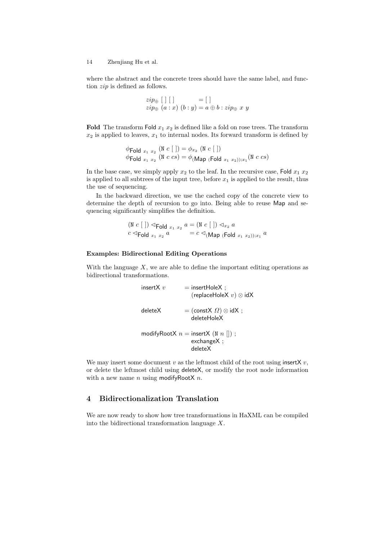where the abstract and the concrete trees should have the same label, and function zip is defined as follows.

$$
zip_{\oplus} [ ] [ ]
$$
  

$$
zip_{\oplus} (a : x) (b : y) = a \oplus b : zip_{\oplus} x y
$$

Fold The transform Fold  $x_1 x_2$  is defined like a fold on rose trees. The transform  $x_2$  is applied to leaves,  $x_1$  to internal nodes. Its forward transform is defined by

$$
\begin{aligned}\n\phi \text{Fold }_{x_1} &_{x_2} \text{ (N } c \text{ [ }]) = \phi_{x_2} \text{ (N } c \text{ [ }]) \\
\phi \text{Fold }_{x_1} &_{x_2} \text{ (N } c \text{ cs)} = \phi_{(\text{Map }(\text{Fold } x_1 \ x_2)); x_1} \text{ (N } c \text{ cs)}\n\end{aligned}
$$

In the base case, we simply apply  $x_2$  to the leaf. In the recursive case, Fold  $x_1 x_2$ is applied to all subtrees of the input tree, before  $x_1$  is applied to the result, thus the use of sequencing.

In the backward direction, we use the cached copy of the concrete view to determine the depth of recursion to go into. Being able to reuse Map and sequencing significantly simplifies the definition.

$$
\begin{array}{l}\n\text{(N } c \mid \text{]) } \triangleleft_{\text{Fold } x_1} x_2 \ a = (\text{N } c \mid \text{]) } \triangleleft_{x_2} a \\
c \triangleleft_{\text{Fold } x_1} x_2 \ a = c \triangleleft_{(\text{Map } (\text{Fold } x_1 \ x_2)); x_1} a\n\end{array}
$$

### Examples: Bidirectional Editing Operations

With the language  $X$ , we are able to define the important editing operations as bidirectional transformations.

| insert $X$ $v$ | $=$ insertHoleX :<br>(replaceHoleX $v) \otimes idX$                       |
|----------------|---------------------------------------------------------------------------|
| deleteX        | $=$ (constX $\Omega$ ) $\otimes$ idX ;<br>deleteHoleX                     |
|                | modifyRootX $n =$ insertX (N $n \parallel$ );<br>$exchangeX$ :<br>deleteX |

We may insert some document  $v$  as the leftmost child of the root using insertX  $v$ , or delete the leftmost child using deleteX, or modify the root node information with a new name  $n$  using modifyRootX  $n$ .

# 4 Bidirectionalization Translation

We are now ready to show how tree transformations in HaXML can be compiled into the bidirectional transformation language X.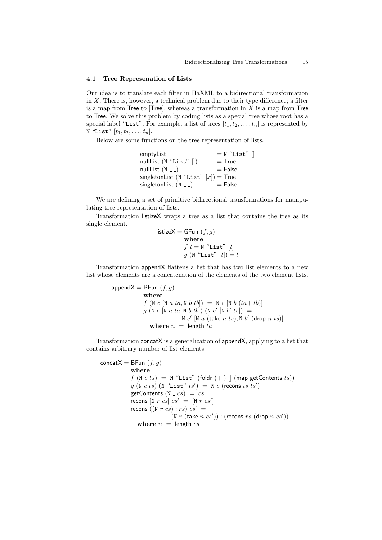#### 4.1 Tree Represenation of Lists

Our idea is to translate each filter in HaXML to a bidirectional transformation in  $X$ . There is, however, a technical problem due to their type difference; a filter is a map from Tree to [Tree], whereas a transformation in  $X$  is a map from Tree to Tree. We solve this problem by coding lists as a special tree whose root has a special label "List". For example, a list of trees  $[t_1, t_2, \ldots, t_n]$  is represented by N "List"  $[t_1, t_2, \ldots, t_n]$ .

Below are some functions on the tree representation of lists.

| emptyList                              | $= N$ "List" $\vert \vert$ |
|----------------------------------------|----------------------------|
| nullList $(N "List" [])$               | $=$ True                   |
| nullList $(N - 1)$                     | $=$ False                  |
| singletonList (N "List" $[x]$ ) = True |                            |
| singletonList $(N - )$                 | $=$ False                  |

We are defining a set of primitive bidirectional transformations for manipulating tree representation of lists.

Transformation listizeX wraps a tree as a list that contains the tree as its single element.

> listizeX = GFun  $(f, g)$ where  $f t = N$  "List"  $[t]$  $g$  (N "List"  $[t]) = t$

Transformation appendX flattens a list that has two list elements to a new list whose elements are a concatenation of the elements of the two element lists.

> append $X = BFun(f, g)$ where  $f (N c [N a ta, N b tb]) = N c [N b (ta+tb)]$  $g \, (\mathbb{N} \, c \, [\mathbb{N} \, a \, ta, \mathbb{N} \, b \, tb]) \, (\mathbb{N} \, c' \, [\mathbb{N} \, b' \, ts]) =$  $N c'$   $[N a$  (take  $n ts)$ ,  $N b'$  (drop  $n ts)$ ) where  $n =$  length  $ta$

Transformation concatX is a generalization of appendX, applying to a list that contains arbitrary number of list elements.

concat $X = BFun(f, g)$ where  $f(N c ts) = N$  "List" (foldr  $(+)$   $($  map getContents  $ts)$ )  $g(N c ts)$   $(N$  "List"  $ts') = N c$  (recons ts ts') getContents  $(N - cs) = cs$ recons  $[N \ r \ cs] \ cs' = [N \ r \ cs']$ recons ((N r cs) : rs)  $cs' =$  $(N r (take n cs')) : (recons rs (drop n cs'))$ where  $n =$  length  $cs$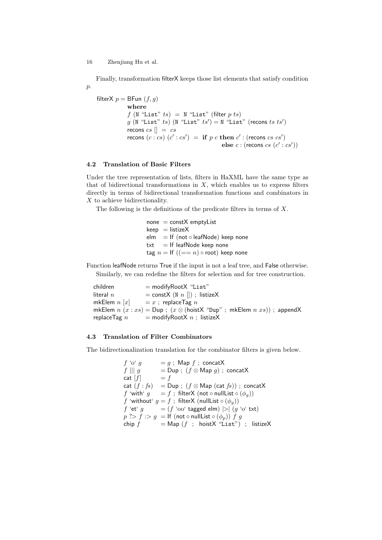Finally, transformation filterX keeps those list elements that satisfy condition  $p$ .

filterX  $p = \text{BFun}(f, g)$ where  $f(N$  "List"  $ts) = N$  "List" (filter  $p \, ts$ )  $g$  (N "List" ts) (N "List" ts') = N "List" (recons ts ts') recons  $cs \parallel = cs$ recons  $(c: cs)$   $(c' : cs') =$  if p c then  $c'$  : (recons cs cs') else  $c:$  (recons  $cs$   $(c':cs')$ )

## 4.2 Translation of Basic Filters

Under the tree representation of lists, filters in HaXML have the same type as that of bidirectional transformations in  $X$ , which enables us to express filters directly in terms of bidirectional transformation functions and combinators in X to achieve bidirectionality.

The following is the definitions of the predicate filters in terms of X.

 $none = constX$  emptyList  $keep = listizeX$ elm = If (not  $\circ$  leafNode) keep none  $txt = If leafNode keep none$ tag  $n =$  If  $((- = n) \circ$  root) keep none

Function leafNode returns True if the input is not a leaf tree, and False otherwise. Similarly, we can redefine the filters for selection and for tree construction.

 $children$  = modifyRootX "List"  $\text{literal } n = \text{const} \times (N n ||)$ ; listizeX mkElem  $n [x] = x$ ; replaceTag  $n$ mkElem  $n(x : xs) = Dup$ ;  $(x \otimes (hoistX "Dup" ; mkElement n xs))$ ; appendX replaceTag  $n =$  modifyRootX  $n$ ; listizeX

### 4.3 Translation of Filter Combinators

The bidirectionalization translation for the combinator filters is given below.

```
f' \circ' g = g; Map f; concatX
f \parallel g = \textsf{Dup}; (f \otimes \textsf{Map} g); concatX
cat [f] = f
cat (f : fs) = Dup; (f \otimes Map (cat fs)); concatX
f 'with' g = f; filterX (not \circ nullList \circ (\phi_q))
f 'without' g = f; filterX (nullList \circ (\phi_q))
f 'et' g = (f \text{ 'oo' tagged elm}) > |g \text{ 'o' txt}|p \gg f : > g = \text{If } (\text{not} \circ \text{nullList} \circ (\phi_p)) f gchip f = Map(f ; hoistX "List") ; listizeX
```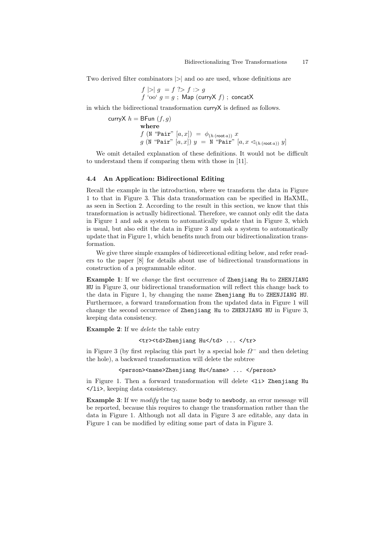Two derived filter combinators |>| and oo are used, whose definitions are

$$
f \mid > \mid g = f \text{ ?} > f : > g
$$
  

$$
f \text{ 'oo' } g = g ; \text{ Map (curryX } f) ; \text{ concatX}
$$

in which the bidirectional transformation curryX is defined as follows.

$$
\begin{aligned}\n\text{curryX } h &= \text{BFun}\ (f, g) \\
&\text{where} \\
&\quad f \ (\texttt{N} \ \text{``Pair''} \ [a, x]) = \phi_{(h \ (\text{root } a))} \ x \\
&\quad g \ (\texttt{N} \ \text{``Pair''} \ [a, x]) \ y = \ \texttt{N} \ \text{``Pair''} \ [a, x \triangleleft_{(h \ (\text{root } a))} y]\n\end{aligned}
$$

We omit detailed explanation of these definitions. It would not be difficult to understand them if comparing them with those in [11].

### 4.4 An Application: Bidirectional Editing

Recall the example in the introduction, where we transform the data in Figure 1 to that in Figure 3. This data transformation can be specified in HaXML, as seen in Section 2. According to the result in this section, we know that this transformation is actually bidirectional. Therefore, we cannot only edit the data in Figure 1 and ask a system to automatically update that in Figure 3, which is usual, but also edit the data in Figure 3 and ask a system to automatically update that in Figure 1, which benefits much from our bidirectionalization transformation.

We give three simple examples of bidirecetional editing below, and refer readers to the paper [8] for details about use of bidirectional transformations in construction of a programmable editor.

Example 1: If we change the first occurrence of Zhenjiang Hu to ZHENJIANG HU in Figure 3, our bidirectional transformation will reflect this change back to the data in Figure 1, by changing the name Zhenjiang Hu to ZHENJIANG HU. Furthermore, a forward transformation from the updated data in Figure 1 will change the second occurrence of Zhenjiang Hu to ZHENJIANG HU in Figure 3, keeping data consistency.

Example 2: If we *delete* the table entry

<tr>>td>Zhenjiang Hu</td> ... </tr>

in Figure 3 (by first replacing this part by a special hole  $\Omega^-$  and then deleting the hole), a backward transformation will delete the subtree

<person><name>Zhenjiang Hu</name> ... </person>

in Figure 1. Then a forward transformation will delete <li> Zhenjiang Hu </li>, keeping data consistency.

Example 3: If we *modify* the tag name body to newbody, an error message will be reported, because this requires to change the transformation rather than the data in Figure 1. Although not all data in Figure 3 are editable, any data in Figure 1 can be modified by editing some part of data in Figure 3.